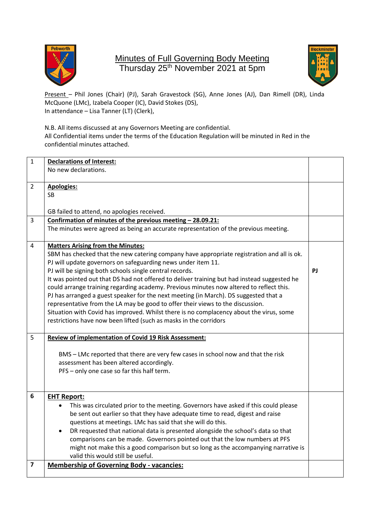

## Minutes of Full Governing Body Meeting Thursday 25<sup>th</sup> November 2021 at 5pm



Present - Phil Jones (Chair) (PJ), Sarah Gravestock (SG), Anne Jones (AJ), Dan Rimell (DR), Linda McQuone (LMc), Izabela Cooper (IC), David Stokes (DS), In attendance – Lisa Tanner (LT) (Clerk),

N.B. All items discussed at any Governors Meeting are confidential. All Confidential items under the terms of the Education Regulation will be minuted in Red in the confidential minutes attached.

| $\mathbf{1}$            | <b>Declarations of Interest:</b>                                                                                                                                                                                                                                                                                                                                                                                                                                                                                                                                                                                                                                                                                                                                                                      |    |  |
|-------------------------|-------------------------------------------------------------------------------------------------------------------------------------------------------------------------------------------------------------------------------------------------------------------------------------------------------------------------------------------------------------------------------------------------------------------------------------------------------------------------------------------------------------------------------------------------------------------------------------------------------------------------------------------------------------------------------------------------------------------------------------------------------------------------------------------------------|----|--|
|                         | No new declarations.                                                                                                                                                                                                                                                                                                                                                                                                                                                                                                                                                                                                                                                                                                                                                                                  |    |  |
| $\overline{2}$          | <b>Apologies:</b><br><b>SB</b><br>GB failed to attend, no apologies received.                                                                                                                                                                                                                                                                                                                                                                                                                                                                                                                                                                                                                                                                                                                         |    |  |
| $\overline{3}$          | Confirmation of minutes of the previous meeting - 28.09.21:                                                                                                                                                                                                                                                                                                                                                                                                                                                                                                                                                                                                                                                                                                                                           |    |  |
|                         | The minutes were agreed as being an accurate representation of the previous meeting.                                                                                                                                                                                                                                                                                                                                                                                                                                                                                                                                                                                                                                                                                                                  |    |  |
| 4                       | <b>Matters Arising from the Minutes:</b><br>SBM has checked that the new catering company have appropriate registration and all is ok.<br>PJ will update governors on safeguarding news under item 11.<br>PJ will be signing both schools single central records.<br>It was pointed out that DS had not offered to deliver training but had instead suggested he<br>could arrange training regarding academy. Previous minutes now altered to reflect this.<br>PJ has arranged a guest speaker for the next meeting (in March). DS suggested that a<br>representative from the LA may be good to offer their views to the discussion.<br>Situation with Covid has improved. Whilst there is no complacency about the virus, some<br>restrictions have now been lifted (such as masks in the corridors | PJ |  |
| 5                       | <b>Review of implementation of Covid 19 Risk Assessment:</b><br>BMS - LMc reported that there are very few cases in school now and that the risk<br>assessment has been altered accordingly.<br>PFS - only one case so far this half term.                                                                                                                                                                                                                                                                                                                                                                                                                                                                                                                                                            |    |  |
| 6                       | <b>EHT Report:</b><br>This was circulated prior to the meeting. Governors have asked if this could please<br>be sent out earlier so that they have adequate time to read, digest and raise<br>questions at meetings. LMc has said that she will do this.<br>DR requested that national data is presented alongside the school's data so that<br>comparisons can be made. Governors pointed out that the low numbers at PFS<br>might not make this a good comparison but so long as the accompanying narrative is<br>valid this would still be useful.                                                                                                                                                                                                                                                 |    |  |
| $\overline{\mathbf{z}}$ | <b>Membership of Governing Body - vacancies:</b>                                                                                                                                                                                                                                                                                                                                                                                                                                                                                                                                                                                                                                                                                                                                                      |    |  |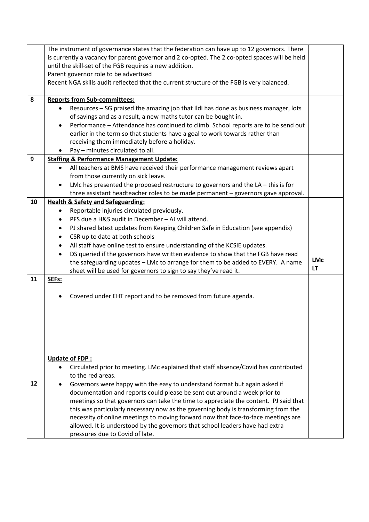|    | The instrument of governance states that the federation can have up to 12 governors. There                          |            |  |  |  |  |
|----|---------------------------------------------------------------------------------------------------------------------|------------|--|--|--|--|
|    | is currently a vacancy for parent governor and 2 co-opted. The 2 co-opted spaces will be held                       |            |  |  |  |  |
|    | until the skill-set of the FGB requires a new addition.                                                             |            |  |  |  |  |
|    | Parent governor role to be advertised                                                                               |            |  |  |  |  |
|    | Recent NGA skills audit reflected that the current structure of the FGB is very balanced.                           |            |  |  |  |  |
|    |                                                                                                                     |            |  |  |  |  |
| 8  | <b>Reports from Sub-committees:</b>                                                                                 |            |  |  |  |  |
|    | Resources - SG praised the amazing job that Ildi has done as business manager, lots                                 |            |  |  |  |  |
|    | of savings and as a result, a new maths tutor can be bought in.                                                     |            |  |  |  |  |
|    | Performance - Attendance has continued to climb. School reports are to be send out<br>$\bullet$                     |            |  |  |  |  |
|    | earlier in the term so that students have a goal to work towards rather than                                        |            |  |  |  |  |
|    | receiving them immediately before a holiday.                                                                        |            |  |  |  |  |
|    | Pay - minutes circulated to all.<br>$\bullet$                                                                       |            |  |  |  |  |
| 9  | <b>Staffing &amp; Performance Management Update:</b>                                                                |            |  |  |  |  |
|    |                                                                                                                     |            |  |  |  |  |
|    | All teachers at BMS have received their performance management reviews apart<br>from those currently on sick leave. |            |  |  |  |  |
|    |                                                                                                                     |            |  |  |  |  |
|    | LMc has presented the proposed restructure to governors and the $LA$ - this is for<br>$\bullet$                     |            |  |  |  |  |
|    | three assistant headteacher roles to be made permanent - governors gave approval.                                   |            |  |  |  |  |
| 10 | <b>Health &amp; Safety and Safeguarding:</b>                                                                        |            |  |  |  |  |
|    | Reportable injuries circulated previously.<br>$\bullet$                                                             |            |  |  |  |  |
|    | PFS due a H&S audit in December - AJ will attend.<br>$\bullet$                                                      |            |  |  |  |  |
|    | PJ shared latest updates from Keeping Children Safe in Education (see appendix)<br>٠                                |            |  |  |  |  |
|    | CSR up to date at both schools<br>$\bullet$                                                                         |            |  |  |  |  |
|    | All staff have online test to ensure understanding of the KCSIE updates.<br>$\bullet$                               |            |  |  |  |  |
|    |                                                                                                                     |            |  |  |  |  |
|    | DS queried if the governors have written evidence to show that the FGB have read<br>$\bullet$                       |            |  |  |  |  |
|    | the safeguarding updates - LMc to arrange for them to be added to EVERY. A name                                     | <b>LMc</b> |  |  |  |  |
|    | sheet will be used for governors to sign to say they've read it.                                                    | LT         |  |  |  |  |
| 11 | SEFs:                                                                                                               |            |  |  |  |  |
|    |                                                                                                                     |            |  |  |  |  |
|    | Covered under EHT report and to be removed from future agenda.                                                      |            |  |  |  |  |
|    |                                                                                                                     |            |  |  |  |  |
|    |                                                                                                                     |            |  |  |  |  |
|    |                                                                                                                     |            |  |  |  |  |
|    |                                                                                                                     |            |  |  |  |  |
|    |                                                                                                                     |            |  |  |  |  |
|    |                                                                                                                     |            |  |  |  |  |
|    |                                                                                                                     |            |  |  |  |  |
|    | <b>Update of FDP:</b>                                                                                               |            |  |  |  |  |
|    | Circulated prior to meeting. LMc explained that staff absence/Covid has contributed<br>$\bullet$                    |            |  |  |  |  |
|    | to the red areas.                                                                                                   |            |  |  |  |  |
| 12 | Governors were happy with the easy to understand format but again asked if                                          |            |  |  |  |  |
|    | documentation and reports could please be sent out around a week prior to                                           |            |  |  |  |  |
|    | meetings so that governors can take the time to appreciate the content. PJ said that                                |            |  |  |  |  |
|    | this was particularly necessary now as the governing body is transforming from the                                  |            |  |  |  |  |
|    | necessity of online meetings to moving forward now that face-to-face meetings are                                   |            |  |  |  |  |
|    | allowed. It is understood by the governors that school leaders have had extra<br>pressures due to Covid of late.    |            |  |  |  |  |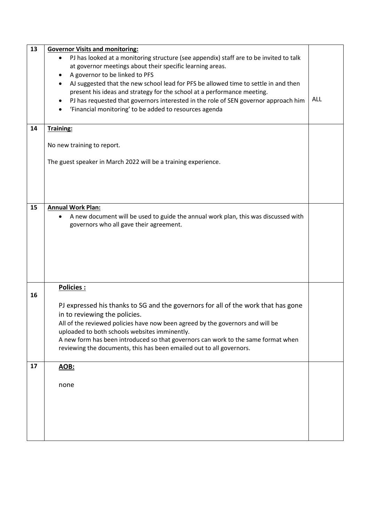| 13 | <b>Governor Visits and monitoring:</b>                                                 |            |  |  |
|----|----------------------------------------------------------------------------------------|------------|--|--|
|    | PJ has looked at a monitoring structure (see appendix) staff are to be invited to talk |            |  |  |
|    | at governor meetings about their specific learning areas.                              |            |  |  |
|    | A governor to be linked to PFS                                                         |            |  |  |
|    | AJ suggested that the new school lead for PFS be allowed time to settle in and then    |            |  |  |
|    |                                                                                        |            |  |  |
|    | present his ideas and strategy for the school at a performance meeting.                | <b>ALL</b> |  |  |
|    | PJ has requested that governors interested in the role of SEN governor approach him    |            |  |  |
|    | 'Financial monitoring' to be added to resources agenda                                 |            |  |  |
|    |                                                                                        |            |  |  |
| 14 | Training:                                                                              |            |  |  |
|    |                                                                                        |            |  |  |
|    | No new training to report.                                                             |            |  |  |
|    |                                                                                        |            |  |  |
|    | The guest speaker in March 2022 will be a training experience.                         |            |  |  |
|    |                                                                                        |            |  |  |
|    |                                                                                        |            |  |  |
|    |                                                                                        |            |  |  |
|    |                                                                                        |            |  |  |
|    |                                                                                        |            |  |  |
| 15 | <b>Annual Work Plan:</b>                                                               |            |  |  |
|    |                                                                                        |            |  |  |
|    | A new document will be used to guide the annual work plan, this was discussed with     |            |  |  |
|    | governors who all gave their agreement.                                                |            |  |  |
|    |                                                                                        |            |  |  |
|    |                                                                                        |            |  |  |
|    |                                                                                        |            |  |  |
|    |                                                                                        |            |  |  |
|    |                                                                                        |            |  |  |
|    |                                                                                        |            |  |  |
|    |                                                                                        |            |  |  |
|    | Policies :                                                                             |            |  |  |
| 16 |                                                                                        |            |  |  |
|    | PJ expressed his thanks to SG and the governors for all of the work that has gone      |            |  |  |
|    | in to reviewing the policies.                                                          |            |  |  |
|    |                                                                                        |            |  |  |
|    | All of the reviewed policies have now been agreed by the governors and will be         |            |  |  |
|    | uploaded to both schools websites imminently.                                          |            |  |  |
|    | A new form has been introduced so that governors can work to the same format when      |            |  |  |
|    | reviewing the documents, this has been emailed out to all governors.                   |            |  |  |
|    |                                                                                        |            |  |  |
| 17 | <b>AOB:</b>                                                                            |            |  |  |
|    |                                                                                        |            |  |  |
|    |                                                                                        |            |  |  |
|    | none                                                                                   |            |  |  |
|    |                                                                                        |            |  |  |
|    |                                                                                        |            |  |  |
|    |                                                                                        |            |  |  |
|    |                                                                                        |            |  |  |
|    |                                                                                        |            |  |  |
|    |                                                                                        |            |  |  |
|    |                                                                                        |            |  |  |